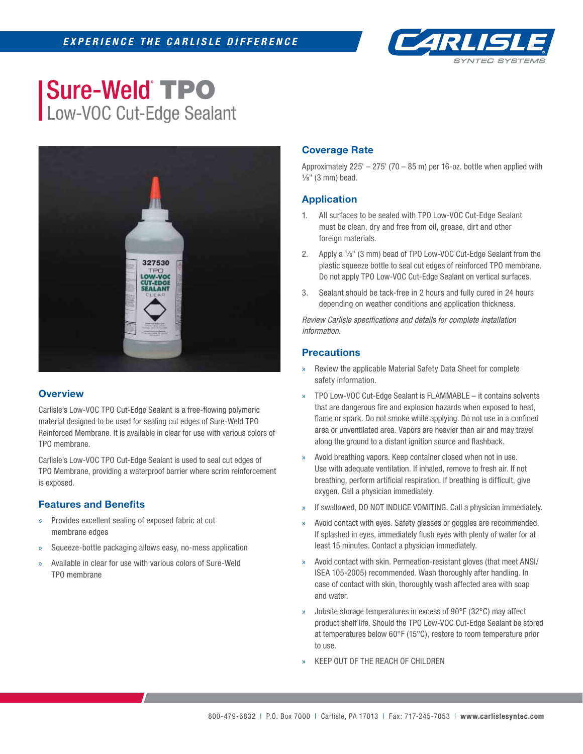

# **Sure-Weld TPO** Low-VOC Cut-Edge Sealant



### **Overview**

Carlisle's Low-VOC TPO Cut-Edge Sealant is a free-flowing polymeric material designed to be used for sealing cut edges of Sure-Weld TPO Reinforced Membrane. It is available in clear for use with various colors of TPO membrane.

Carlisle's Low-VOC TPO Cut-Edge Sealant is used to seal cut edges of TPO Membrane, providing a waterproof barrier where scrim reinforcement is exposed.

### **Features and Benefits**

- » Provides excellent sealing of exposed fabric at cut membrane edges
- » Squeeze-bottle packaging allows easy, no-mess application
- » Available in clear for use with various colors of Sure-Weld TPO membrane

# **Coverage Rate**

Approximately  $225' - 275'$  (70 – 85 m) per 16-oz. bottle when applied with  $\frac{1}{8}$ " (3 mm) bead.

## **Application**

- 1. All surfaces to be sealed with TPO Low-VOC Cut-Edge Sealant must be clean, dry and free from oil, grease, dirt and other foreign materials.
- 2. Apply a  $\frac{1}{8}$ " (3 mm) bead of TPO Low-VOC Cut-Edge Sealant from the plastic squeeze bottle to seal cut edges of reinforced TPO membrane. Do not apply TPO Low-VOC Cut-Edge Sealant on vertical surfaces.
- 3. Sealant should be tack-free in 2 hours and fully cured in 24 hours depending on weather conditions and application thickness.

**Review Carlisle specifications and details for complete installation** *information.*

### **Precautions**

- » Review the applicable Material Safety Data Sheet for complete safety information.
- » TPO Low-VOC Cut-Edge Sealant is FLAMMABLE it contains solvents that are dangerous fire and explosion hazards when exposed to heat, flame or spark. Do not smoke while applying. Do not use in a confined area or unventilated area. Vapors are heavier than air and may travel along the ground to a distant ignition source and flashback.
- » Avoid breathing vapors. Keep container closed when not in use. Use with adequate ventilation. If inhaled, remove to fresh air. If not breathing, perform artificial respiration. If breathing is difficult, give oxygen. Call a physician immediately.
- If swallowed, DO NOT INDUCE VOMITING. Call a physician immediately.
- » Avoid contact with eyes. Safety glasses or goggles are recommended. If splashed in eyes, immediately flush eyes with plenty of water for at least 15 minutes. Contact a physician immediately.
- » Avoid contact with skin. Permeation-resistant gloves (that meet ANSI/ ISEA 105-2005) recommended. Wash thoroughly after handling. In case of contact with skin, thoroughly wash affected area with soap and water.
- » Jobsite storage temperatures in excess of 90°F (32°C) may affect product shelf life. Should the TPO Low-VOC Cut-Edge Sealant be stored at temperatures below 60°F (15°C), restore to room temperature prior to use.
- » KEEP OUT OF THE REACH OF CHILDREN